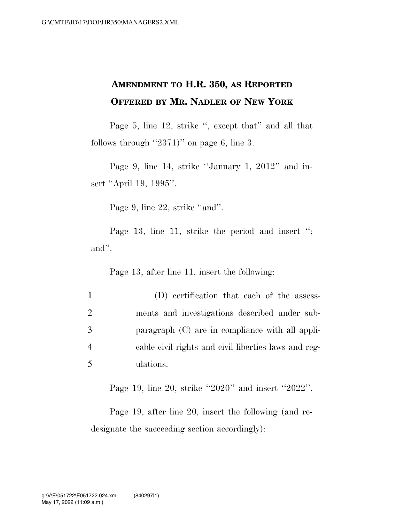## **AMENDMENT TO H.R. 350, AS REPORTED OFFERED BY MR. NADLER OF NEW YORK**

Page 5, line 12, strike '', except that'' and all that follows through  $"2371"$  on page 6, line 3.

Page 9, line 14, strike ''January 1, 2012'' and insert ''April 19, 1995''.

Page 9, line 22, strike "and".

Page 13, line 11, strike the period and insert ''; and''.

Page 13, after line 11, insert the following:

 (D) certification that each of the assess- ments and investigations described under sub- paragraph (C) are in compliance with all appli- cable civil rights and civil liberties laws and reg-ulations.

Page 19, line 20, strike ''2020'' and insert ''2022''.

Page 19, after line 20, insert the following (and redesignate the succeeding section accordingly):